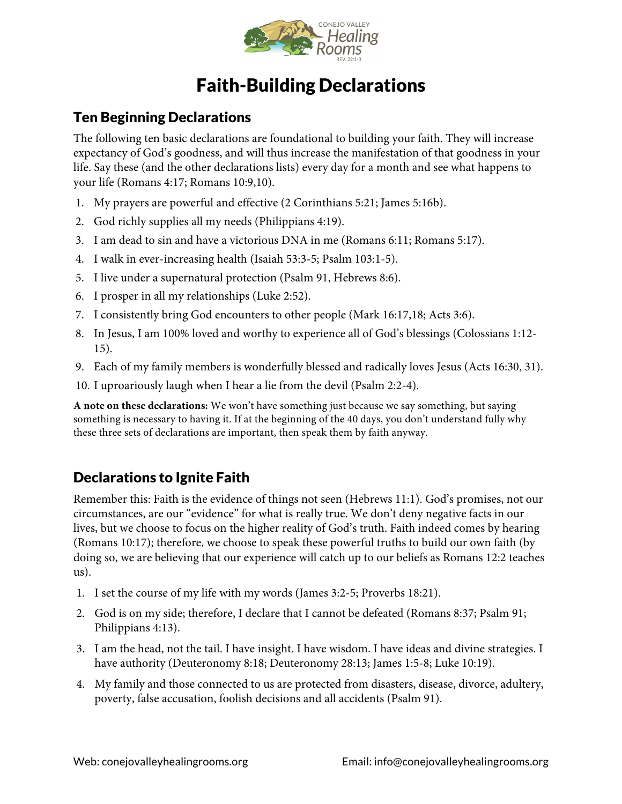

## Faith-Building Declarations

## Ten Beginning Declarations

The following ten basic declarations are foundational to building your faith. They will increase expectancy of God's goodness, and will thus increase the manifestation of that goodness in your life. Say these (and the other declarations lists) every day for a month and see what happens to your life (Romans 4:17; Romans 10:9,10).

- 1. My prayers are powerful and effective (2 Corinthians 5:21; James 5:16b).
- 2. God richly supplies all my needs (Philippians 4:19).
- 3. I am dead to sin and have a victorious DNA in me (Romans 6:11; Romans 5:17).
- 4. I walk in ever-increasing health (Isaiah 53:3-5; Psalm 103:1-5).
- 5. I live under a supernatural protection (Psalm 91, Hebrews 8:6).
- 6. I prosper in all my relationships (Luke 2:52).
- 7. I consistently bring God encounters to other people (Mark 16:17,18; Acts 3:6).
- 8. In Jesus, I am 100% loved and worthy to experience all of God's blessings (Colossians 1:12- 15).
- 9. Each of my family members is wonderfully blessed and radically loves Jesus (Acts 16:30, 31).
- 10. I uproariously laugh when I hear a lie from the devil (Psalm 2:2-4).

**A note on these declarations:** We won't have something just because we say something, but saying something is necessary to having it. If at the beginning of the 40 days, you don't understand fully why these three sets of declarations are important, then speak them by faith anyway.

## Declarations to Ignite Faith

Remember this: Faith is the evidence of things not seen (Hebrews 11:1). God's promises, not our circumstances, are our "evidence" for what is really true. We don't deny negative facts in our lives, but we choose to focus on the higher reality of God's truth. Faith indeed comes by hearing (Romans 10:17); therefore, we choose to speak these powerful truths to build our own faith (by doing so, we are believing that our experience will catch up to our beliefs as Romans 12:2 teaches us).

- 1. I set the course of my life with my words (James 3:2-5; Proverbs 18:21).
- 2. God is on my side; therefore, I declare that I cannot be defeated (Romans 8:37; Psalm 91; Philippians 4:13).
- 3. I am the head, not the tail. I have insight. I have wisdom. I have ideas and divine strategies. I have authority (Deuteronomy 8:18; Deuteronomy 28:13; James 1:5-8; Luke 10:19).
- 4. My family and those connected to us are protected from disasters, disease, divorce, adultery, poverty, false accusation, foolish decisions and all accidents (Psalm 91).